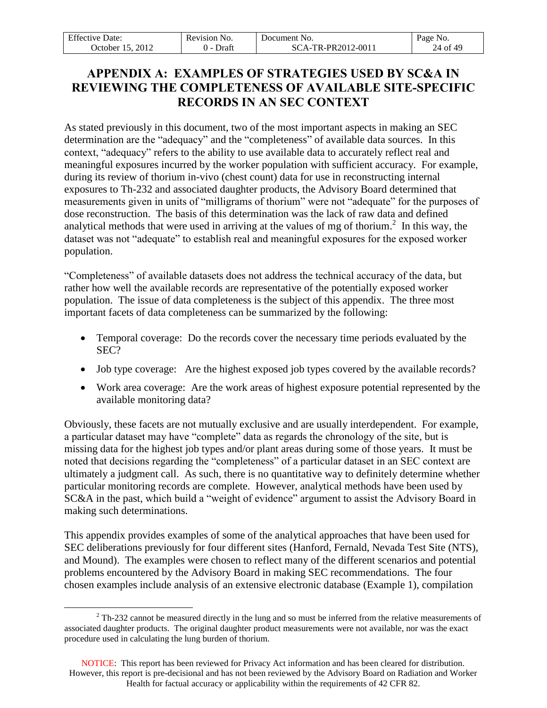| <b>Effective Date:</b>        | Revision No. | Document No.      | Page No. |
|-------------------------------|--------------|-------------------|----------|
| 2012<br><b>October</b><br>15. | Draft        | CA-TR-PR2012-0011 | 24 of 49 |

# **APPENDIX A: EXAMPLES OF STRATEGIES USED BY SC&A IN REVIEWING THE COMPLETENESS OF AVAILABLE SITE-SPECIFIC RECORDS IN AN SEC CONTEXT**

As stated previously in this document, two of the most important aspects in making an SEC determination are the "adequacy" and the "completeness" of available data sources. In this context, "adequacy" refers to the ability to use available data to accurately reflect real and meaningful exposures incurred by the worker population with sufficient accuracy. For example, during its review of thorium in-vivo (chest count) data for use in reconstructing internal exposures to Th-232 and associated daughter products, the Advisory Board determined that measurements given in units of "milligrams of thorium" were not "adequate" for the purposes of dose reconstruction. The basis of this determination was the lack of raw data and defined analytical methods that were used in arriving at the values of mg of thorium.<sup>2</sup> In this way, the dataset was not "adequate" to establish real and meaningful exposures for the exposed worker population.

"Completeness" of available datasets does not address the technical accuracy of the data, but rather how well the available records are representative of the potentially exposed worker population. The issue of data completeness is the subject of this appendix. The three most important facets of data completeness can be summarized by the following:

- Temporal coverage: Do the records cover the necessary time periods evaluated by the SEC?
- Job type coverage: Are the highest exposed job types covered by the available records?
- Work area coverage: Are the work areas of highest exposure potential represented by the available monitoring data?

Obviously, these facets are not mutually exclusive and are usually interdependent. For example, a particular dataset may have "complete" data as regards the chronology of the site, but is missing data for the highest job types and/or plant areas during some of those years. It must be noted that decisions regarding the "completeness" of a particular dataset in an SEC context are ultimately a judgment call. As such, there is no quantitative way to definitely determine whether particular monitoring records are complete. However, analytical methods have been used by SC&A in the past, which build a "weight of evidence" argument to assist the Advisory Board in making such determinations.

This appendix provides examples of some of the analytical approaches that have been used for SEC deliberations previously for four different sites (Hanford, Fernald, Nevada Test Site (NTS), and Mound). The examples were chosen to reflect many of the different scenarios and potential problems encountered by the Advisory Board in making SEC recommendations. The four chosen examples include analysis of an extensive electronic database (Example 1), compilation

 $\overline{a}$  $2$  Th-232 cannot be measured directly in the lung and so must be inferred from the relative measurements of associated daughter products. The original daughter product measurements were not available, nor was the exact procedure used in calculating the lung burden of thorium.

NOTICE: This report has been reviewed for Privacy Act information and has been cleared for distribution. However, this report is pre-decisional and has not been reviewed by the Advisory Board on Radiation and Worker Health for factual accuracy or applicability within the requirements of 42 CFR 82.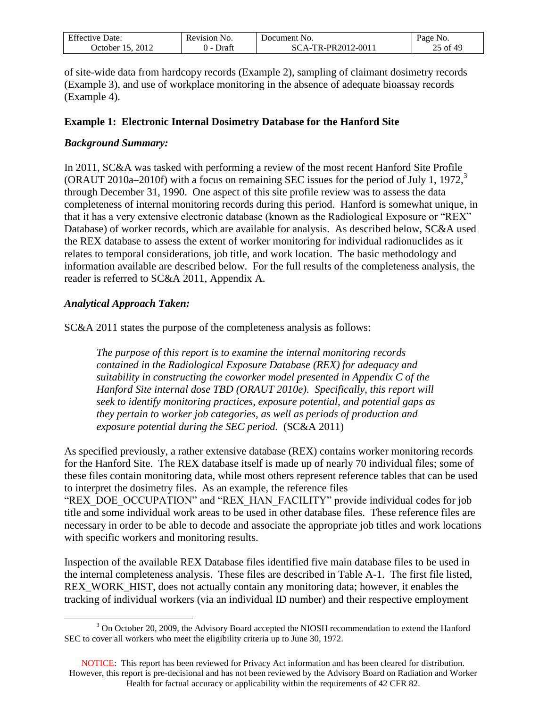| $F^{\alpha}$<br>Date:<br>. tive.<br>Effect | vision<br>N <sub>O</sub><br>n | Jocument<br>NO.                        | Page<br>'NO. |
|--------------------------------------------|-------------------------------|----------------------------------------|--------------|
| 2012<br>. Jetober .                        | Draf                          | २-PR2012-0011<br>TR <sub>-</sub><br>д. | 40<br>0t     |

of site-wide data from hardcopy records (Example 2), sampling of claimant dosimetry records (Example 3), and use of workplace monitoring in the absence of adequate bioassay records (Example 4).

### **Example 1: Electronic Internal Dosimetry Database for the Hanford Site**

#### *Background Summary:*

In 2011, SC&A was tasked with performing a review of the most recent Hanford Site Profile (ORAUT 2010a–2010f) with a focus on remaining SEC issues for the period of July 1, 1972, 3 through December 31, 1990. One aspect of this site profile review was to assess the data completeness of internal monitoring records during this period. Hanford is somewhat unique, in that it has a very extensive electronic database (known as the Radiological Exposure or "REX" Database) of worker records, which are available for analysis. As described below, SC&A used the REX database to assess the extent of worker monitoring for individual radionuclides as it relates to temporal considerations, job title, and work location. The basic methodology and information available are described below. For the full results of the completeness analysis, the reader is referred to SC&A 2011, Appendix A.

#### *Analytical Approach Taken:*

SC&A 2011 states the purpose of the completeness analysis as follows:

*The purpose of this report is to examine the internal monitoring records contained in the Radiological Exposure Database (REX) for adequacy and suitability in constructing the coworker model presented in Appendix C of the Hanford Site internal dose TBD (ORAUT 2010e). Specifically, this report will seek to identify monitoring practices, exposure potential, and potential gaps as they pertain to worker job categories, as well as periods of production and exposure potential during the SEC period.* (SC&A 2011)

As specified previously, a rather extensive database (REX) contains worker monitoring records for the Hanford Site. The REX database itself is made up of nearly 70 individual files; some of these files contain monitoring data, while most others represent reference tables that can be used to interpret the dosimetry files. As an example, the reference files "REX\_DOE\_OCCUPATION" and "REX\_HAN\_FACILITY" provide individual codes for job title and some individual work areas to be used in other database files. These reference files are necessary in order to be able to decode and associate the appropriate job titles and work locations with specific workers and monitoring results.

Inspection of the available REX Database files identified five main database files to be used in the internal completeness analysis. These files are described in Table A-1. The first file listed, REX\_WORK\_HIST, does not actually contain any monitoring data; however, it enables the tracking of individual workers (via an individual ID number) and their respective employment

 $\overline{a}$ <sup>3</sup> On October 20, 2009, the Advisory Board accepted the NIOSH recommendation to extend the Hanford SEC to cover all workers who meet the eligibility criteria up to June 30, 1972.

NOTICE: This report has been reviewed for Privacy Act information and has been cleared for distribution. However, this report is pre-decisional and has not been reviewed by the Advisory Board on Radiation and Worker Health for factual accuracy or applicability within the requirements of 42 CFR 82.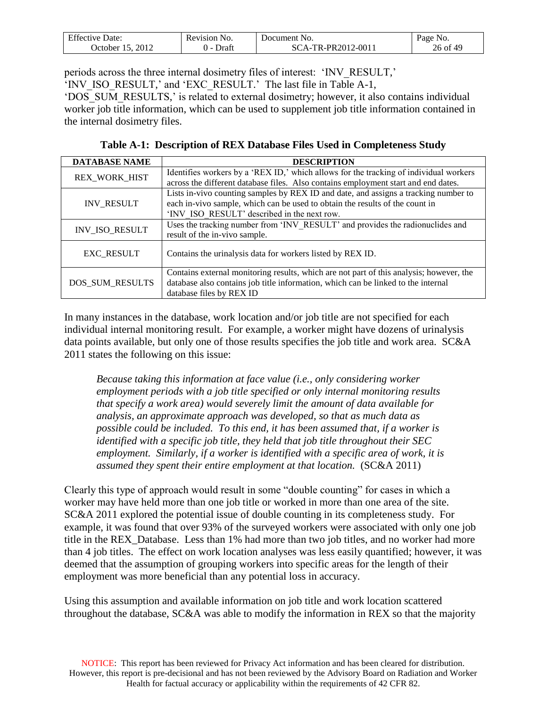| $\Gamma$ $\alpha$<br>Date:<br>Effective .<br>. | evision'<br>INO.<br>acv | Jocument<br>N <sub>O</sub>   | age<br>NO.  |
|------------------------------------------------|-------------------------|------------------------------|-------------|
| 2012<br>. Ictober                              | Draf                    | $12 - 001$<br>PR2011<br>'R.I | 49<br>26 of |

periods across the three internal dosimetry files of interest: 'INV\_RESULT,' 'INV\_ISO\_RESULT,' and 'EXC\_RESULT.' The last file in Table A-1,

'DOS\_SUM\_RESULTS,' is related to external dosimetry; however, it also contains individual worker job title information, which can be used to supplement job title information contained in the internal dosimetry files.

**Table A-1: Description of REX Database Files Used in Completeness Study**

| <b>DATABASE NAME</b> | <b>DESCRIPTION</b>                                                                      |
|----------------------|-----------------------------------------------------------------------------------------|
| <b>REX WORK HIST</b> | Identifies workers by a 'REX ID,' which allows for the tracking of individual workers   |
|                      | across the different database files. Also contains employment start and end dates.      |
|                      | Lists in-vivo counting samples by REX ID and date, and assigns a tracking number to     |
| <b>INV_RESULT</b>    | each in-vivo sample, which can be used to obtain the results of the count in            |
|                      | 'INV ISO RESULT' described in the next row.                                             |
| INV_ISO_RESULT       | Uses the tracking number from 'INV RESULT' and provides the radionuclides and           |
|                      | result of the in-vivo sample.                                                           |
| <b>EXC RESULT</b>    | Contains the urinalysis data for workers listed by REX ID.                              |
|                      |                                                                                         |
|                      | Contains external monitoring results, which are not part of this analysis; however, the |
| DOS_SUM_RESULTS      | database also contains job title information, which can be linked to the internal       |
|                      | database files by REX ID                                                                |

In many instances in the database, work location and/or job title are not specified for each individual internal monitoring result. For example, a worker might have dozens of urinalysis data points available, but only one of those results specifies the job title and work area. SC&A 2011 states the following on this issue:

*Because taking this information at face value (i.e., only considering worker employment periods with a job title specified or only internal monitoring results that specify a work area) would severely limit the amount of data available for analysis, an approximate approach was developed, so that as much data as possible could be included. To this end, it has been assumed that, if a worker is identified with a specific job title, they held that job title throughout their SEC employment. Similarly, if a worker is identified with a specific area of work, it is assumed they spent their entire employment at that location.* (SC&A 2011)

Clearly this type of approach would result in some "double counting" for cases in which a worker may have held more than one job title or worked in more than one area of the site. SC&A 2011 explored the potential issue of double counting in its completeness study. For example, it was found that over 93% of the surveyed workers were associated with only one job title in the REX\_Database. Less than 1% had more than two job titles, and no worker had more than 4 job titles. The effect on work location analyses was less easily quantified; however, it was deemed that the assumption of grouping workers into specific areas for the length of their employment was more beneficial than any potential loss in accuracy.

Using this assumption and available information on job title and work location scattered throughout the database, SC&A was able to modify the information in REX so that the majority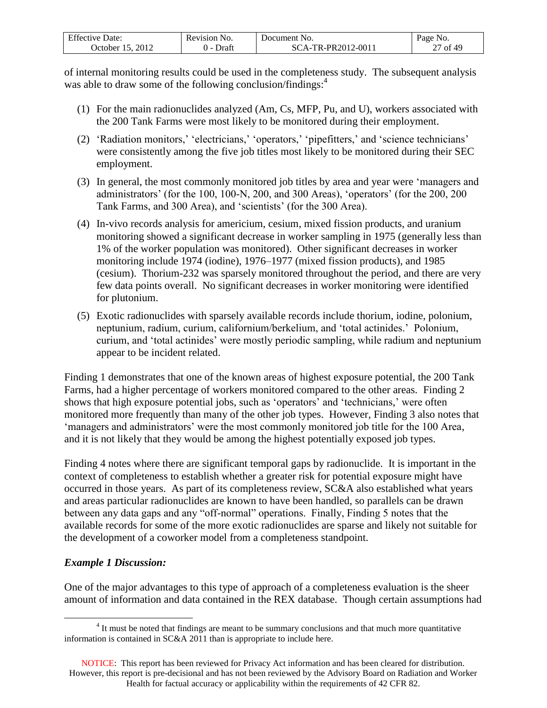| $F^{\alpha}$<br>Jate:<br>Etter | No.<br>evision! | NO.<br>Jocument                    | Ряое<br>N <sub>O</sub> |
|--------------------------------|-----------------|------------------------------------|------------------------|
| 2012<br>. Jetober .            |                 | PR2012-0011<br>TD.<br>$\mathbf{a}$ | of 49<br>0Ì<br>41      |

of internal monitoring results could be used in the completeness study. The subsequent analysis was able to draw some of the following conclusion/findings:<sup>4</sup>

- (1) For the main radionuclides analyzed (Am, Cs, MFP, Pu, and U), workers associated with the 200 Tank Farms were most likely to be monitored during their employment.
- (2) 'Radiation monitors,' 'electricians,' 'operators,' 'pipefitters,' and 'science technicians' were consistently among the five job titles most likely to be monitored during their SEC employment.
- (3) In general, the most commonly monitored job titles by area and year were 'managers and administrators' (for the 100, 100-N, 200, and 300 Areas), 'operators' (for the 200, 200 Tank Farms, and 300 Area), and 'scientists' (for the 300 Area).
- (4) In-vivo records analysis for americium, cesium, mixed fission products, and uranium monitoring showed a significant decrease in worker sampling in 1975 (generally less than 1% of the worker population was monitored). Other significant decreases in worker monitoring include 1974 (iodine), 1976–1977 (mixed fission products), and 1985 (cesium). Thorium-232 was sparsely monitored throughout the period, and there are very few data points overall. No significant decreases in worker monitoring were identified for plutonium.
- (5) Exotic radionuclides with sparsely available records include thorium, iodine, polonium, neptunium, radium, curium, californium/berkelium, and 'total actinides.' Polonium, curium, and 'total actinides' were mostly periodic sampling, while radium and neptunium appear to be incident related.

Finding 1 demonstrates that one of the known areas of highest exposure potential, the 200 Tank Farms, had a higher percentage of workers monitored compared to the other areas. Finding 2 shows that high exposure potential jobs, such as 'operators' and 'technicians,' were often monitored more frequently than many of the other job types. However, Finding 3 also notes that 'managers and administrators' were the most commonly monitored job title for the 100 Area, and it is not likely that they would be among the highest potentially exposed job types.

Finding 4 notes where there are significant temporal gaps by radionuclide. It is important in the context of completeness to establish whether a greater risk for potential exposure might have occurred in those years. As part of its completeness review, SC&A also established what years and areas particular radionuclides are known to have been handled, so parallels can be drawn between any data gaps and any "off-normal" operations. Finally, Finding 5 notes that the available records for some of the more exotic radionuclides are sparse and likely not suitable for the development of a coworker model from a completeness standpoint.

### *Example 1 Discussion:*

 $\overline{a}$ 

One of the major advantages to this type of approach of a completeness evaluation is the sheer amount of information and data contained in the REX database. Though certain assumptions had

 $4$  It must be noted that findings are meant to be summary conclusions and that much more quantitative information is contained in SC&A 2011 than is appropriate to include here.

NOTICE: This report has been reviewed for Privacy Act information and has been cleared for distribution. However, this report is pre-decisional and has not been reviewed by the Advisory Board on Radiation and Worker Health for factual accuracy or applicability within the requirements of 42 CFR 82.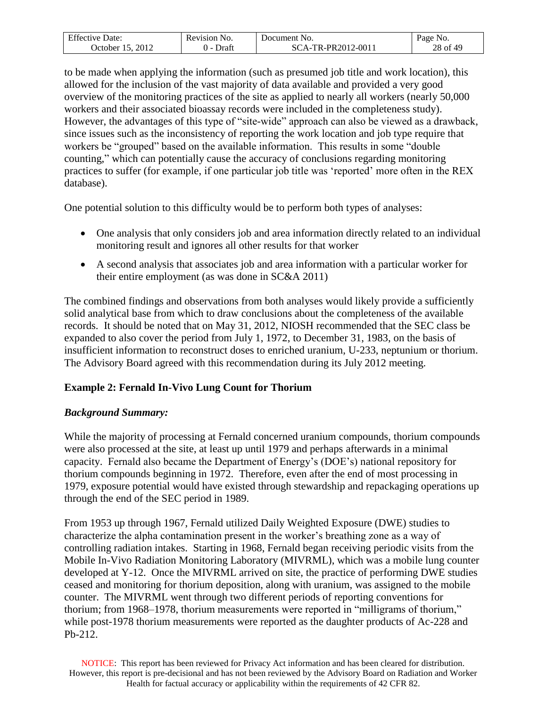| $F^{\alpha}$<br>Date:<br>Effective L | No.<br>evision) | Document No.                | NO.<br>Page       |
|--------------------------------------|-----------------|-----------------------------|-------------------|
| 2012<br>. )ctober .                  | Jraft           | TR-PR2012-0011<br>$\Lambda$ | ոք 49<br>28<br>of |

to be made when applying the information (such as presumed job title and work location), this allowed for the inclusion of the vast majority of data available and provided a very good overview of the monitoring practices of the site as applied to nearly all workers (nearly 50,000 workers and their associated bioassay records were included in the completeness study). However, the advantages of this type of "site-wide" approach can also be viewed as a drawback, since issues such as the inconsistency of reporting the work location and job type require that workers be "grouped" based on the available information. This results in some "double counting," which can potentially cause the accuracy of conclusions regarding monitoring practices to suffer (for example, if one particular job title was 'reported' more often in the REX database).

One potential solution to this difficulty would be to perform both types of analyses:

- One analysis that only considers job and area information directly related to an individual monitoring result and ignores all other results for that worker
- A second analysis that associates job and area information with a particular worker for their entire employment (as was done in SC&A 2011)

The combined findings and observations from both analyses would likely provide a sufficiently solid analytical base from which to draw conclusions about the completeness of the available records. It should be noted that on May 31, 2012, NIOSH recommended that the SEC class be expanded to also cover the period from July 1, 1972, to December 31, 1983, on the basis of insufficient information to reconstruct doses to enriched uranium, U-233, neptunium or thorium. The Advisory Board agreed with this recommendation during its July 2012 meeting.

# **Example 2: Fernald In-Vivo Lung Count for Thorium**

# *Background Summary:*

While the majority of processing at Fernald concerned uranium compounds, thorium compounds were also processed at the site, at least up until 1979 and perhaps afterwards in a minimal capacity. Fernald also became the Department of Energy's (DOE's) national repository for thorium compounds beginning in 1972. Therefore, even after the end of most processing in 1979, exposure potential would have existed through stewardship and repackaging operations up through the end of the SEC period in 1989.

From 1953 up through 1967, Fernald utilized Daily Weighted Exposure (DWE) studies to characterize the alpha contamination present in the worker's breathing zone as a way of controlling radiation intakes. Starting in 1968, Fernald began receiving periodic visits from the Mobile In-Vivo Radiation Monitoring Laboratory (MIVRML), which was a mobile lung counter developed at Y-12. Once the MIVRML arrived on site, the practice of performing DWE studies ceased and monitoring for thorium deposition, along with uranium, was assigned to the mobile counter. The MIVRML went through two different periods of reporting conventions for thorium; from 1968–1978, thorium measurements were reported in "milligrams of thorium," while post-1978 thorium measurements were reported as the daughter products of Ac-228 and Pb-212.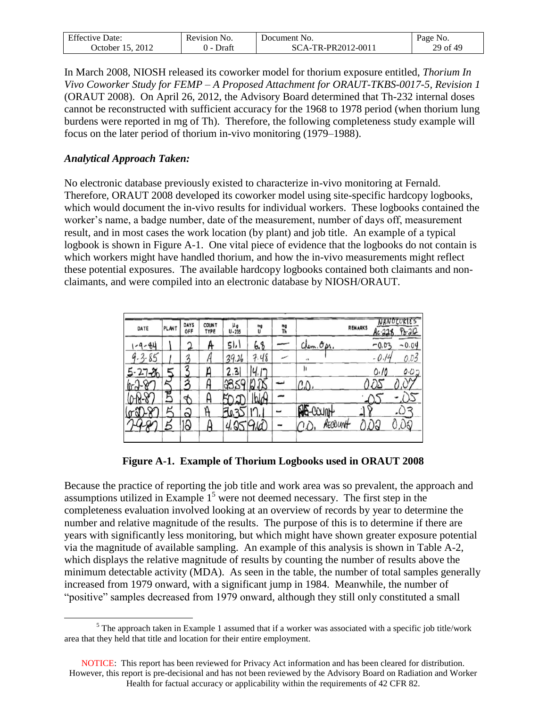| $F^{\alpha}$<br>-bate<br>$1V$ $\theta$<br>Effect | evision<br>N <sub>O</sub> | Jocument<br>NO.                    | NO.<br>Page               |
|--------------------------------------------------|---------------------------|------------------------------------|---------------------------|
| 2012<br>. )ctober                                | ⊃raft                     | "R-PR2012-0011<br>TD.<br>$\Lambda$ | ոք 49<br>29 <sub>of</sub> |

In March 2008, NIOSH released its coworker model for thorium exposure entitled, *Thorium In Vivo Coworker Study for FEMP – A Proposed Attachment for ORAUT-TKBS-0017-5, Revision 1* (ORAUT 2008). On April 26, 2012, the Advisory Board determined that Th-232 internal doses cannot be reconstructed with sufficient accuracy for the 1968 to 1978 period (when thorium lung burdens were reported in mg of Th). Therefore, the following completeness study example will focus on the later period of thorium in-vivo monitoring (1979–1988).

#### *Analytical Approach Taken:*

 $\overline{a}$ 

No electronic database previously existed to characterize in-vivo monitoring at Fernald. Therefore, ORAUT 2008 developed its coworker model using site-specific hardcopy logbooks, which would document the in-vivo results for individual workers. These logbooks contained the worker's name, a badge number, date of the measurement, number of days off, measurement result, and in most cases the work location (by plant) and job title. An example of a typical logbook is shown in Figure A-1. One vital piece of evidence that the logbooks do not contain is which workers might have handled thorium, and how the in-vivo measurements might reflect these potential exposures. The available hardcopy logbooks contained both claimants and nonclaimants, and were compiled into an electronic database by NIOSH/ORAUT.

| DATE      | PLANT | DAYS<br>OFF    | <b>COUNT</b><br>TYPE | و ئا<br>$U - 235$ | me<br>U        | mg<br>Th |               | <b>REMARKS</b><br>Ac 228 | NANOCURIES<br>$P_{b-212}$ |
|-----------|-------|----------------|----------------------|-------------------|----------------|----------|---------------|--------------------------|---------------------------|
| $-9-84$   |       | $\bigcap$      | A                    | 51,1              | 6.8            |          | Chem. Opr.    | $-0.03$                  | $-0.04$                   |
| $-3 - 85$ |       | 3              |                      | 39.26             | 7.48           |          | $\lambda$     | $-0.14$                  | 0.03                      |
| త         |       | σ              |                      | 2.3               | $\overline{ }$ |          | ۱ı            | 0.10                     | 0.02                      |
| 10~d      |       | Ā              |                      |                   | <b>A</b>       |          | CD            |                          |                           |
|           | ア     | ⊅              | ۲                    |                   | <b>bloy</b>    |          |               |                          |                           |
|           | ر     | $\hat{\omega}$ | ĥ                    | V.                |                |          | AB-COUNT      |                          |                           |
|           |       | 19             | H                    | Q                 | 9iã            |          | AECOUNT<br>СĊ |                          | X                         |
|           |       |                |                      |                   |                |          |               |                          |                           |

**Figure A-1. Example of Thorium Logbooks used in ORAUT 2008**

Because the practice of reporting the job title and work area was so prevalent, the approach and assumptions utilized in Example  $1<sup>5</sup>$  were not deemed necessary. The first step in the completeness evaluation involved looking at an overview of records by year to determine the number and relative magnitude of the results. The purpose of this is to determine if there are years with significantly less monitoring, but which might have shown greater exposure potential via the magnitude of available sampling. An example of this analysis is shown in Table A-2, which displays the relative magnitude of results by counting the number of results above the minimum detectable activity (MDA). As seen in the table, the number of total samples generally increased from 1979 onward, with a significant jump in 1984. Meanwhile, the number of "positive" samples decreased from 1979 onward, although they still only constituted a small

 $<sup>5</sup>$  The approach taken in Example 1 assumed that if a worker was associated with a specific job title/work</sup> area that they held that title and location for their entire employment.

NOTICE: This report has been reviewed for Privacy Act information and has been cleared for distribution. However, this report is pre-decisional and has not been reviewed by the Advisory Board on Radiation and Worker Health for factual accuracy or applicability within the requirements of 42 CFR 82.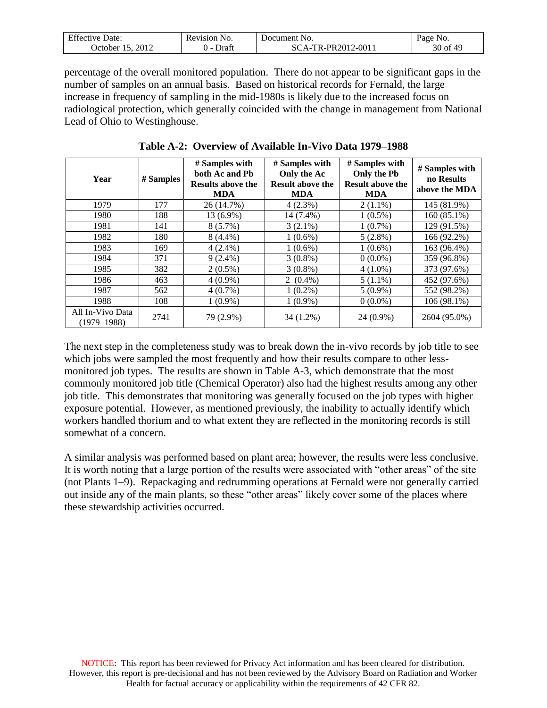| $F^{\alpha}$<br>Date:<br>Effective | evision!<br>N <sub>O</sub> | Jocument<br>NO.            | NO.<br>Page      |
|------------------------------------|----------------------------|----------------------------|------------------|
| 2012<br>. )ctober                  | Draft                      | R-PR2012-0011<br>TD.<br>Δ. | f 49ء<br>$30$ of |

percentage of the overall monitored population. There do not appear to be significant gaps in the number of samples on an annual basis. Based on historical records for Fernald, the large increase in frequency of sampling in the mid-1980s is likely due to the increased focus on radiological protection, which generally coincided with the change in management from National Lead of Ohio to Westinghouse.

| Year                                | # Samples | # Samples with<br>both Ac and Pb<br><b>Results above the</b><br><b>MDA</b> | # Samples with<br>Only the Ac<br><b>Result above the</b><br><b>MDA</b> | # Samples with<br>Only the Pb<br><b>Result above the</b><br><b>MDA</b> | # Samples with<br>no Results<br>above the MDA |
|-------------------------------------|-----------|----------------------------------------------------------------------------|------------------------------------------------------------------------|------------------------------------------------------------------------|-----------------------------------------------|
| 1979                                | 177       | 26 (14.7%)                                                                 | $4(2.3\%)$                                                             | $2(1.1\%)$                                                             | 145 (81.9%)                                   |
| 1980                                | 188       | 13 (6.9%)                                                                  | 14 (7.4%)                                                              | $1(0.5\%)$                                                             | 160 (85.1%)                                   |
| 1981                                | 141       | $8(5.7\%)$                                                                 | $3(2.1\%)$                                                             | $1(0.7\%)$                                                             | 129 (91.5%)                                   |
| 1982                                | 180       | $8(4.4\%)$                                                                 | $1(0.6\%)$                                                             | $5(2.8\%)$                                                             | 166 (92.2%)                                   |
| 1983                                | 169       | $4(2.4\%)$                                                                 | $1(0.6\%)$                                                             | $1(0.6\%)$                                                             | 163 (96.4%)                                   |
| 1984                                | 371       | $9(2.4\%)$                                                                 | $3(0.8\%)$                                                             | $0(0.0\%)$                                                             | 359 (96.8%)                                   |
| 1985                                | 382       | $2(0.5\%)$                                                                 | $3(0.8\%)$                                                             | $4(1.0\%)$                                                             | 373 (97.6%)                                   |
| 1986                                | 463       | $4(0.9\%)$                                                                 | $2(0.4\%)$                                                             | $5(1.1\%)$                                                             | 452 (97.6%)                                   |
| 1987                                | 562       | $4(0.7\%)$                                                                 | $1(0.2\%)$                                                             | $5(0.9\%)$                                                             | 552 (98.2%)                                   |
| 1988                                | 108       | $1(0.9\%)$                                                                 | $1(0.9\%)$                                                             | $0(0.0\%)$                                                             | 106 (98.1%)                                   |
| All In-Vivo Data<br>$(1979 - 1988)$ | 2741      | 79 (2.9%)                                                                  | 34 (1.2%)                                                              | $24(0.9\%)$                                                            | 2604 (95.0%)                                  |

**Table A-2: Overview of Available In-Vivo Data 1979–1988**

The next step in the completeness study was to break down the in-vivo records by job title to see which jobs were sampled the most frequently and how their results compare to other lessmonitored job types. The results are shown in Table A-3, which demonstrate that the most commonly monitored job title (Chemical Operator) also had the highest results among any other job title. This demonstrates that monitoring was generally focused on the job types with higher exposure potential. However, as mentioned previously, the inability to actually identify which workers handled thorium and to what extent they are reflected in the monitoring records is still somewhat of a concern.

A similar analysis was performed based on plant area; however, the results were less conclusive. It is worth noting that a large portion of the results were associated with "other areas" of the site (not Plants 1–9). Repackaging and redrumming operations at Fernald were not generally carried out inside any of the main plants, so these "other areas" likely cover some of the places where these stewardship activities occurred.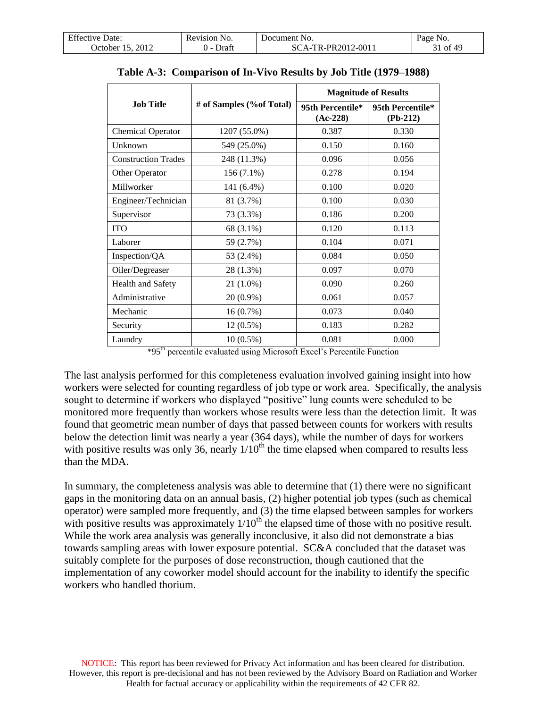| F C                     | Revision       | Jocument No.                             | •a oe |
|-------------------------|----------------|------------------------------------------|-------|
| Effective Date:         | N <sub>O</sub> |                                          | NO.   |
| 2012<br>. )ctober<br>רו | Draf           | የ-PR2012-0011<br>TR <sub>-</sub><br>ີ Δ⊥ | 0Ī    |

|                            |                           |                                | <b>Magnitude of Results</b>    |
|----------------------------|---------------------------|--------------------------------|--------------------------------|
| <b>Job Title</b>           | # of Samples (% of Total) | 95th Percentile*<br>$(Ac-228)$ | 95th Percentile*<br>$(Pb-212)$ |
| <b>Chemical Operator</b>   | 1207 (55.0%)              | 0.387                          | 0.330                          |
| Unknown                    | 549 (25.0%)               | 0.150                          | 0.160                          |
| <b>Construction Trades</b> | 248 (11.3%)               | 0.096                          | 0.056                          |
| Other Operator             | $156(7.1\%)$              | 0.278                          | 0.194                          |
| Millworker                 | 141 (6.4%)                | 0.100                          | 0.020                          |
| Engineer/Technician        | 81 (3.7%)                 | 0.100                          | 0.030                          |
| Supervisor                 | 73 (3.3%)                 | 0.186                          | 0.200                          |
| <b>ITO</b>                 | 68 (3.1%)                 | 0.120                          | 0.113                          |
| Laborer                    | 59 (2.7%)                 | 0.104                          | 0.071                          |
| Inspection/QA              | 53 (2.4%)                 | 0.084                          | 0.050                          |
| Oiler/Degreaser            | 28 (1.3%)                 | 0.097                          | 0.070                          |
| Health and Safety          | $21(1.0\%)$               | 0.090                          | 0.260                          |
| Administrative             | 20 (0.9%)                 | 0.061                          | 0.057                          |
| Mechanic                   | 16(0.7%)                  | 0.073                          | 0.040                          |
| Security                   | $12(0.5\%)$               | 0.183                          | 0.282                          |
| Laundry                    | $10(0.5\%)$               | 0.081                          | 0.000                          |

**Table A-3: Comparison of In-Vivo Results by Job Title (1979–1988)**

\*95th percentile evaluated using Microsoft Excel's Percentile Function

The last analysis performed for this completeness evaluation involved gaining insight into how workers were selected for counting regardless of job type or work area. Specifically, the analysis sought to determine if workers who displayed "positive" lung counts were scheduled to be monitored more frequently than workers whose results were less than the detection limit. It was found that geometric mean number of days that passed between counts for workers with results below the detection limit was nearly a year (364 days), while the number of days for workers with positive results was only 36, nearly  $1/10^{th}$  the time elapsed when compared to results less than the MDA.

In summary, the completeness analysis was able to determine that (1) there were no significant gaps in the monitoring data on an annual basis, (2) higher potential job types (such as chemical operator) were sampled more frequently, and (3) the time elapsed between samples for workers with positive results was approximately  $1/10^{th}$  the elapsed time of those with no positive result. While the work area analysis was generally inconclusive, it also did not demonstrate a bias towards sampling areas with lower exposure potential. SC&A concluded that the dataset was suitably complete for the purposes of dose reconstruction, though cautioned that the implementation of any coworker model should account for the inability to identify the specific workers who handled thorium.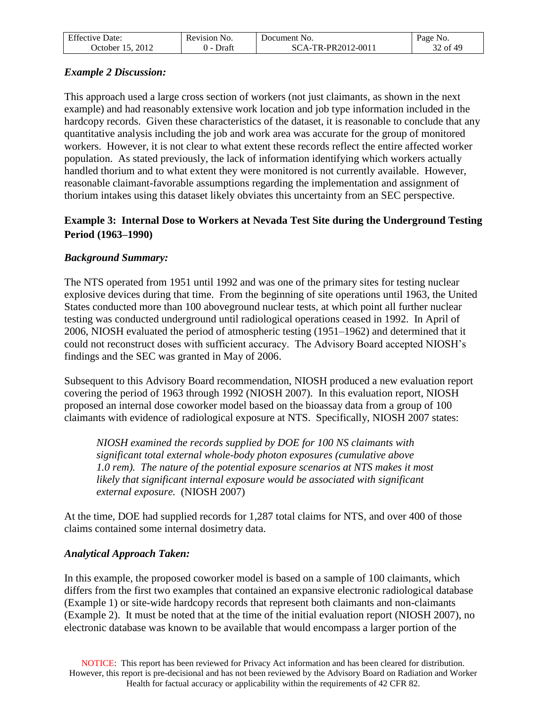| $F^{\alpha}$      | Revision                                  | Jocument         | NO.            |
|-------------------|-------------------------------------------|------------------|----------------|
| Effective Date:   | N0                                        | N <sub>O</sub> . | Page           |
| 2012<br>. )ctober | 'Jrafi<br>$\cdot$ $\cdot$ $\cdot$ $\cdot$ | A-TR-PR2012-001* | f49<br>ົ<br>οt |

### *Example 2 Discussion:*

This approach used a large cross section of workers (not just claimants, as shown in the next example) and had reasonably extensive work location and job type information included in the hardcopy records. Given these characteristics of the dataset, it is reasonable to conclude that any quantitative analysis including the job and work area was accurate for the group of monitored workers. However, it is not clear to what extent these records reflect the entire affected worker population. As stated previously, the lack of information identifying which workers actually handled thorium and to what extent they were monitored is not currently available. However, reasonable claimant-favorable assumptions regarding the implementation and assignment of thorium intakes using this dataset likely obviates this uncertainty from an SEC perspective.

# **Example 3: Internal Dose to Workers at Nevada Test Site during the Underground Testing Period (1963–1990)**

# *Background Summary:*

The NTS operated from 1951 until 1992 and was one of the primary sites for testing nuclear explosive devices during that time. From the beginning of site operations until 1963, the United States conducted more than 100 aboveground nuclear tests, at which point all further nuclear testing was conducted underground until radiological operations ceased in 1992. In April of 2006, NIOSH evaluated the period of atmospheric testing (1951–1962) and determined that it could not reconstruct doses with sufficient accuracy. The Advisory Board accepted NIOSH's findings and the SEC was granted in May of 2006.

Subsequent to this Advisory Board recommendation, NIOSH produced a new evaluation report covering the period of 1963 through 1992 (NIOSH 2007). In this evaluation report, NIOSH proposed an internal dose coworker model based on the bioassay data from a group of 100 claimants with evidence of radiological exposure at NTS. Specifically, NIOSH 2007 states:

*NIOSH examined the records supplied by DOE for 100 NS claimants with significant total external whole-body photon exposures (cumulative above 1.0 rem). The nature of the potential exposure scenarios at NTS makes it most likely that significant internal exposure would be associated with significant external exposure.* (NIOSH 2007)

At the time, DOE had supplied records for 1,287 total claims for NTS, and over 400 of those claims contained some internal dosimetry data.

### *Analytical Approach Taken:*

In this example, the proposed coworker model is based on a sample of 100 claimants, which differs from the first two examples that contained an expansive electronic radiological database (Example 1) or site-wide hardcopy records that represent both claimants and non-claimants (Example 2). It must be noted that at the time of the initial evaluation report (NIOSH 2007), no electronic database was known to be available that would encompass a larger portion of the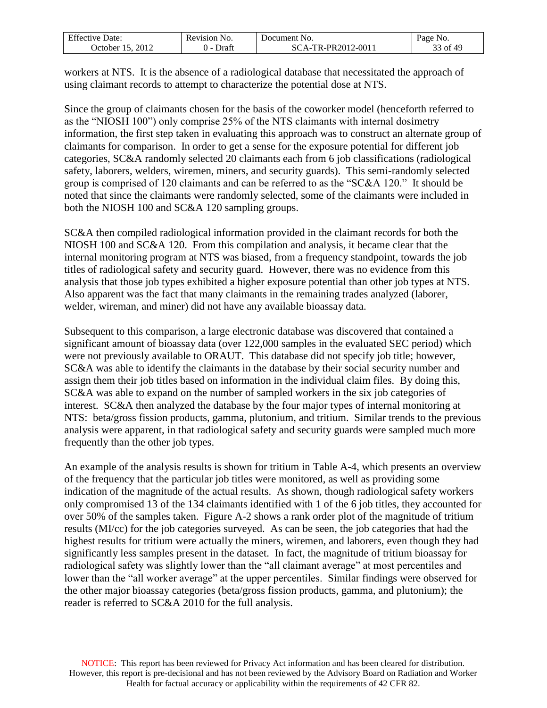| $F^{\alpha}$        | cevision)      | Jocument                     | Page              |
|---------------------|----------------|------------------------------|-------------------|
| Effective Date:     | N <sub>O</sub> | N <sub>O</sub>               | NO.               |
| 2012<br>. )ctober . | <b>Draft</b>   | TR-PR2012-0011<br>$\Delta$ - | ոք 49<br>0t<br>ັບ |

workers at NTS. It is the absence of a radiological database that necessitated the approach of using claimant records to attempt to characterize the potential dose at NTS.

Since the group of claimants chosen for the basis of the coworker model (henceforth referred to as the "NIOSH 100") only comprise 25% of the NTS claimants with internal dosimetry information, the first step taken in evaluating this approach was to construct an alternate group of claimants for comparison. In order to get a sense for the exposure potential for different job categories, SC&A randomly selected 20 claimants each from 6 job classifications (radiological safety, laborers, welders, wiremen, miners, and security guards). This semi-randomly selected group is comprised of 120 claimants and can be referred to as the "SC&A 120." It should be noted that since the claimants were randomly selected, some of the claimants were included in both the NIOSH 100 and SC&A 120 sampling groups.

SC&A then compiled radiological information provided in the claimant records for both the NIOSH 100 and SC&A 120. From this compilation and analysis, it became clear that the internal monitoring program at NTS was biased, from a frequency standpoint, towards the job titles of radiological safety and security guard. However, there was no evidence from this analysis that those job types exhibited a higher exposure potential than other job types at NTS. Also apparent was the fact that many claimants in the remaining trades analyzed (laborer, welder, wireman, and miner) did not have any available bioassay data.

Subsequent to this comparison, a large electronic database was discovered that contained a significant amount of bioassay data (over 122,000 samples in the evaluated SEC period) which were not previously available to ORAUT. This database did not specify job title; however, SC&A was able to identify the claimants in the database by their social security number and assign them their job titles based on information in the individual claim files. By doing this, SC&A was able to expand on the number of sampled workers in the six job categories of interest. SC&A then analyzed the database by the four major types of internal monitoring at NTS: beta/gross fission products, gamma, plutonium, and tritium. Similar trends to the previous analysis were apparent, in that radiological safety and security guards were sampled much more frequently than the other job types.

An example of the analysis results is shown for tritium in Table A-4, which presents an overview of the frequency that the particular job titles were monitored, as well as providing some indication of the magnitude of the actual results. As shown, though radiological safety workers only compromised 13 of the 134 claimants identified with 1 of the 6 job titles, they accounted for over 50% of the samples taken. Figure A-2 shows a rank order plot of the magnitude of tritium results (MI/cc) for the job categories surveyed. As can be seen, the job categories that had the highest results for tritium were actually the miners, wiremen, and laborers, even though they had significantly less samples present in the dataset. In fact, the magnitude of tritium bioassay for radiological safety was slightly lower than the "all claimant average" at most percentiles and lower than the "all worker average" at the upper percentiles. Similar findings were observed for the other major bioassay categories (beta/gross fission products, gamma, and plutonium); the reader is referred to SC&A 2010 for the full analysis.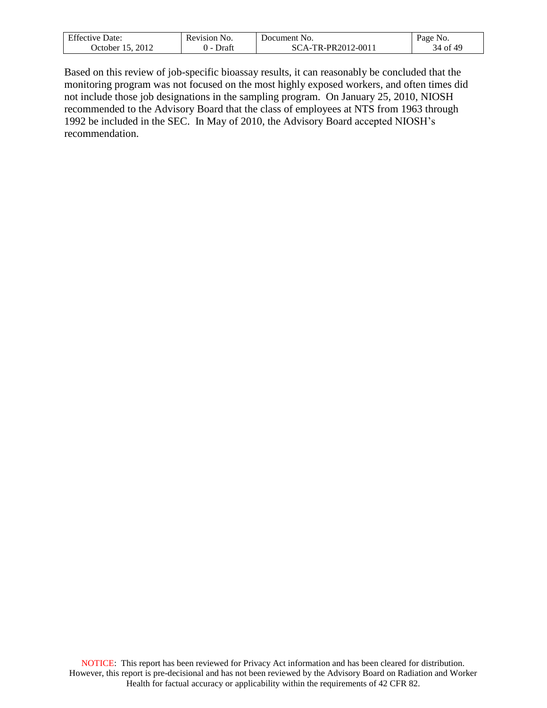| $F^{\alpha}$<br>Jate:<br>1VA | N <sub>O</sub><br>visior!<br>. | N <sub>O</sub><br>Jocument<br>. | $P2$ $er$<br>'NO. |
|------------------------------|--------------------------------|---------------------------------|-------------------|
| 201<br>. Jetober .           | $140 + 11$<br>ган              | TR-PR2012-0011<br>$\mathbf{A}$  | .f AC<br>34<br>Οİ |

Based on this review of job-specific bioassay results, it can reasonably be concluded that the monitoring program was not focused on the most highly exposed workers, and often times did not include those job designations in the sampling program. On January 25, 2010, NIOSH recommended to the Advisory Board that the class of employees at NTS from 1963 through 1992 be included in the SEC. In May of 2010, the Advisory Board accepted NIOSH's recommendation.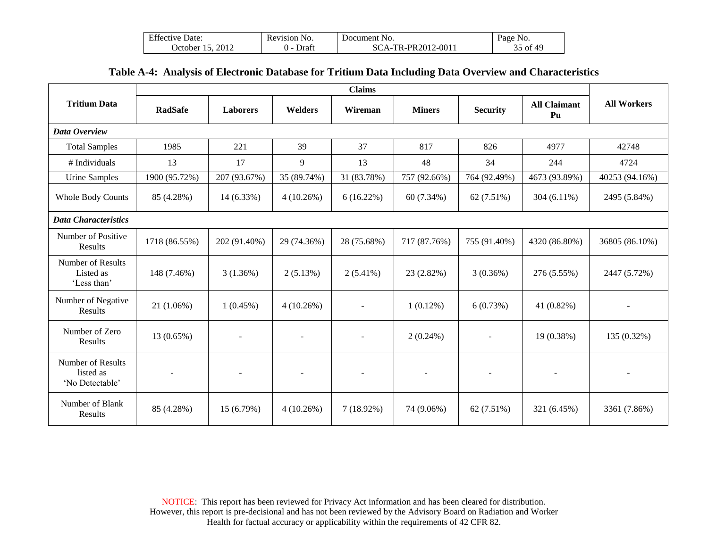| <b>Effective Date:</b> | Revision No. | Document No.       | Page No. |
|------------------------|--------------|--------------------|----------|
| October 15, 2012       | Draft        | SCA-TR-PR2012-0011 | 35 of 49 |

#### **Table A-4: Analysis of Electronic Database for Tritium Data Including Data Overview and Characteristics**

|                                                   | <b>Claims</b>            |                          |                          |                          |                          |                          |                           |                          |
|---------------------------------------------------|--------------------------|--------------------------|--------------------------|--------------------------|--------------------------|--------------------------|---------------------------|--------------------------|
| <b>Tritium Data</b>                               | <b>RadSafe</b>           | <b>Laborers</b>          | <b>Welders</b>           | Wireman                  | <b>Miners</b>            | <b>Security</b>          | <b>All Claimant</b><br>Pu | <b>All Workers</b>       |
| Data Overview                                     |                          |                          |                          |                          |                          |                          |                           |                          |
| <b>Total Samples</b>                              | 1985                     | 221                      | 39                       | 37                       | 817                      | 826                      | 4977                      | 42748                    |
| # Individuals                                     | 13                       | 17                       | 9                        | 13                       | 48                       | 34                       | 244                       | 4724                     |
| <b>Urine Samples</b>                              | 1900 (95.72%)            | 207 (93.67%)             | 35 (89.74%)              | 31 (83.78%)              | 757 (92.66%)             | 764 (92.49%)             | 4673 (93.89%)             | 40253 (94.16%)           |
| <b>Whole Body Counts</b>                          | 85 (4.28%)               | 14 (6.33%)               | 4(10.26%)                | $6(16.22\%)$             | 60 (7.34%)               | 62 (7.51%)               | $304(6.11\%)$             | 2495 (5.84%)             |
| <b>Data Characteristics</b>                       |                          |                          |                          |                          |                          |                          |                           |                          |
| Number of Positive<br>Results                     | 1718 (86.55%)            | 202 (91.40%)             | 29 (74.36%)              | 28 (75.68%)              | 717 (87.76%)             | 755 (91.40%)             | 4320 (86.80%)             | 36805 (86.10%)           |
| Number of Results<br>Listed as<br>'Less than'     | 148 (7.46%)              | 3(1.36%)                 | 2(5.13%)                 | $2(5.41\%)$              | 23 (2.82%)               | 3(0.36%)                 | 276 (5.55%)               | 2447 (5.72%)             |
| Number of Negative<br>Results                     | $21(1.06\%)$             | $1(0.45\%)$              | $4(10.26\%)$             |                          | $1(0.12\%)$              | 6(0.73%)                 | 41 $(0.82\%)$             |                          |
| Number of Zero<br>Results                         | 13 (0.65%)               | $\blacksquare$           | $\blacksquare$           | $\blacksquare$           | $2(0.24\%)$              | $\overline{\phantom{a}}$ | 19 (0.38%)                | 135 (0.32%)              |
| Number of Results<br>listed as<br>'No Detectable' | $\overline{\phantom{a}}$ | $\overline{\phantom{a}}$ | $\overline{\phantom{a}}$ | $\overline{\phantom{a}}$ | $\overline{\phantom{a}}$ | $\sim$                   | $\overline{\phantom{a}}$  | $\overline{\phantom{a}}$ |
| Number of Blank<br>Results                        | 85 (4.28%)               | 15 (6.79%)               | $4(10.26\%)$             | $7(18.92\%)$             | 74 (9.06%)               | 62 (7.51%)               | 321 (6.45%)               | 3361 (7.86%)             |

NOTICE: This report has been reviewed for Privacy Act information and has been cleared for distribution. However, this report is pre-decisional and has not been reviewed by the Advisory Board on Radiation and Worker Health for factual accuracy or applicability within the requirements of 42 CFR 82.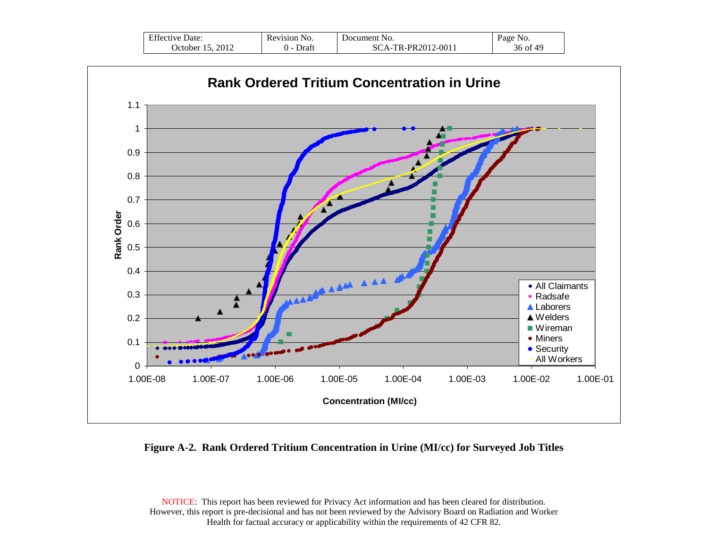| $\Gamma$ $\sim$<br>Effective Date: | Revision No. | Document No.                 | N <sub>0</sub> .<br>Page |
|------------------------------------|--------------|------------------------------|--------------------------|
| 2012<br>. Ctober<br>◝              | Draft        | TR-PR2012-0011<br>$\Delta$ = | 36 of 49                 |



#### **Figure A-2. Rank Ordered Tritium Concentration in Urine (MI/cc) for Surveyed Job Titles**

NOTICE: This report has been reviewed for Privacy Act information and has been cleared for distribution. However, this report is pre-decisional and has not been reviewed by the Advisory Board on Radiation and Worker Health for factual accuracy or applicability within the requirements of 42 CFR 82.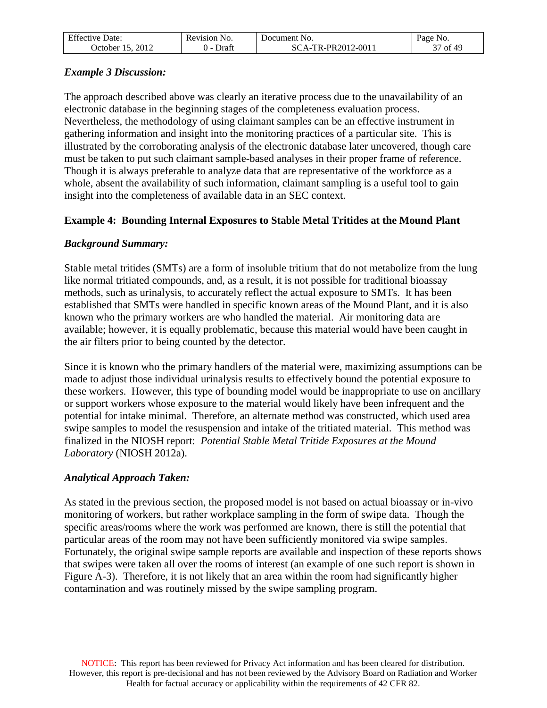| $F^{\alpha}$<br>Jate:<br>Effective | Revision<br>NO. | <b>D</b> ocument<br>NO.                                             | NO.<br>Page   |
|------------------------------------|-----------------|---------------------------------------------------------------------|---------------|
| 2012<br>. Jetober                  | )rafi           | $2-0011$<br>TR-PR2012-0<br>$\lambda$<br>$\rightarrow$ $\rightarrow$ | 49<br>οt<br>◡ |

### *Example 3 Discussion:*

The approach described above was clearly an iterative process due to the unavailability of an electronic database in the beginning stages of the completeness evaluation process. Nevertheless, the methodology of using claimant samples can be an effective instrument in gathering information and insight into the monitoring practices of a particular site. This is illustrated by the corroborating analysis of the electronic database later uncovered, though care must be taken to put such claimant sample-based analyses in their proper frame of reference. Though it is always preferable to analyze data that are representative of the workforce as a whole, absent the availability of such information, claimant sampling is a useful tool to gain insight into the completeness of available data in an SEC context.

#### **Example 4: Bounding Internal Exposures to Stable Metal Tritides at the Mound Plant**

#### *Background Summary:*

Stable metal tritides (SMTs) are a form of insoluble tritium that do not metabolize from the lung like normal tritiated compounds, and, as a result, it is not possible for traditional bioassay methods, such as urinalysis, to accurately reflect the actual exposure to SMTs. It has been established that SMTs were handled in specific known areas of the Mound Plant, and it is also known who the primary workers are who handled the material. Air monitoring data are available; however, it is equally problematic, because this material would have been caught in the air filters prior to being counted by the detector.

Since it is known who the primary handlers of the material were, maximizing assumptions can be made to adjust those individual urinalysis results to effectively bound the potential exposure to these workers. However, this type of bounding model would be inappropriate to use on ancillary or support workers whose exposure to the material would likely have been infrequent and the potential for intake minimal. Therefore, an alternate method was constructed, which used area swipe samples to model the resuspension and intake of the tritiated material. This method was finalized in the NIOSH report: *Potential Stable Metal Tritide Exposures at the Mound Laboratory* (NIOSH 2012a).

#### *Analytical Approach Taken:*

As stated in the previous section, the proposed model is not based on actual bioassay or in-vivo monitoring of workers, but rather workplace sampling in the form of swipe data. Though the specific areas/rooms where the work was performed are known, there is still the potential that particular areas of the room may not have been sufficiently monitored via swipe samples. Fortunately, the original swipe sample reports are available and inspection of these reports shows that swipes were taken all over the rooms of interest (an example of one such report is shown in Figure A-3). Therefore, it is not likely that an area within the room had significantly higher contamination and was routinely missed by the swipe sampling program.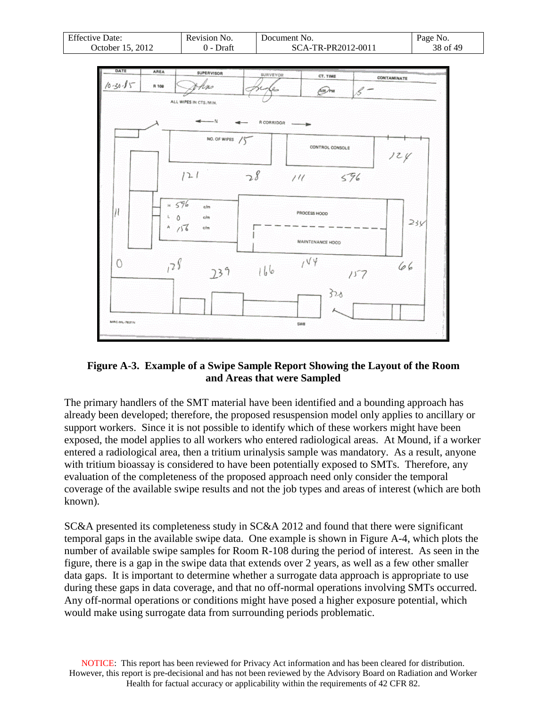| <b>Effective Date:</b> | Revision No. | Document No.       | Page No. |
|------------------------|--------------|--------------------|----------|
| 2012<br>October 15.    | Draft<br>. . | SCA-TR-PR2012-0011 | 38 of 49 |



#### **Figure A-3. Example of a Swipe Sample Report Showing the Layout of the Room and Areas that were Sampled**

The primary handlers of the SMT material have been identified and a bounding approach has already been developed; therefore, the proposed resuspension model only applies to ancillary or support workers. Since it is not possible to identify which of these workers might have been exposed, the model applies to all workers who entered radiological areas. At Mound, if a worker entered a radiological area, then a tritium urinalysis sample was mandatory. As a result, anyone with tritium bioassay is considered to have been potentially exposed to SMTs. Therefore, any evaluation of the completeness of the proposed approach need only consider the temporal coverage of the available swipe results and not the job types and areas of interest (which are both known).

SC&A presented its completeness study in SC&A 2012 and found that there were significant temporal gaps in the available swipe data. One example is shown in Figure A-4, which plots the number of available swipe samples for Room R-108 during the period of interest. As seen in the figure, there is a gap in the swipe data that extends over 2 years, as well as a few other smaller data gaps. It is important to determine whether a surrogate data approach is appropriate to use during these gaps in data coverage, and that no off-normal operations involving SMTs occurred. Any off-normal operations or conditions might have posed a higher exposure potential, which would make using surrogate data from surrounding periods problematic.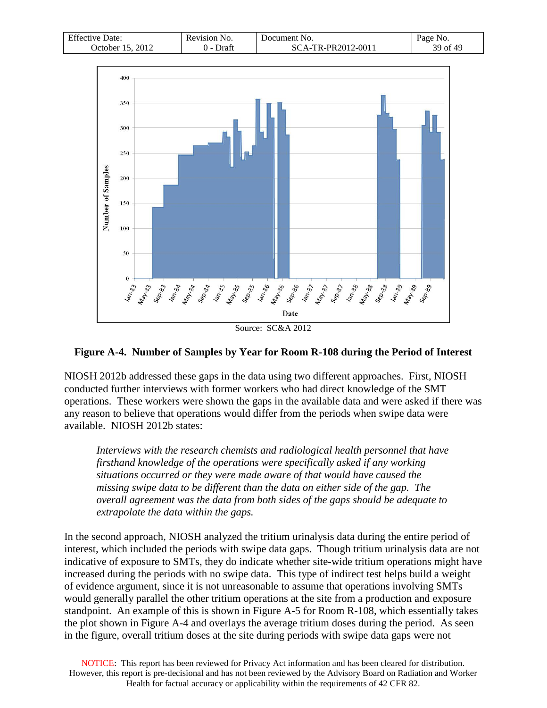| <b>Effective Date:</b>         | Revision No.    | Document No.         | Page No. |
|--------------------------------|-----------------|----------------------|----------|
| 2012<br><b>J</b> ctober<br>15. | Draft<br>$\sim$ | $TA$ -TR-PR2012-0011 | 39 of 49 |



#### **Figure A-4. Number of Samples by Year for Room R-108 during the Period of Interest**

NIOSH 2012b addressed these gaps in the data using two different approaches. First, NIOSH conducted further interviews with former workers who had direct knowledge of the SMT operations. These workers were shown the gaps in the available data and were asked if there was any reason to believe that operations would differ from the periods when swipe data were available. NIOSH 2012b states:

*Interviews with the research chemists and radiological health personnel that have firsthand knowledge of the operations were specifically asked if any working situations occurred or they were made aware of that would have caused the missing swipe data to be different than the data on either side of the gap. The overall agreement was the data from both sides of the gaps should be adequate to extrapolate the data within the gaps.*

In the second approach, NIOSH analyzed the tritium urinalysis data during the entire period of interest, which included the periods with swipe data gaps. Though tritium urinalysis data are not indicative of exposure to SMTs, they do indicate whether site-wide tritium operations might have increased during the periods with no swipe data. This type of indirect test helps build a weight of evidence argument, since it is not unreasonable to assume that operations involving SMTs would generally parallel the other tritium operations at the site from a production and exposure standpoint. An example of this is shown in Figure A-5 for Room R-108, which essentially takes the plot shown in Figure A-4 and overlays the average tritium doses during the period. As seen in the figure, overall tritium doses at the site during periods with swipe data gaps were not